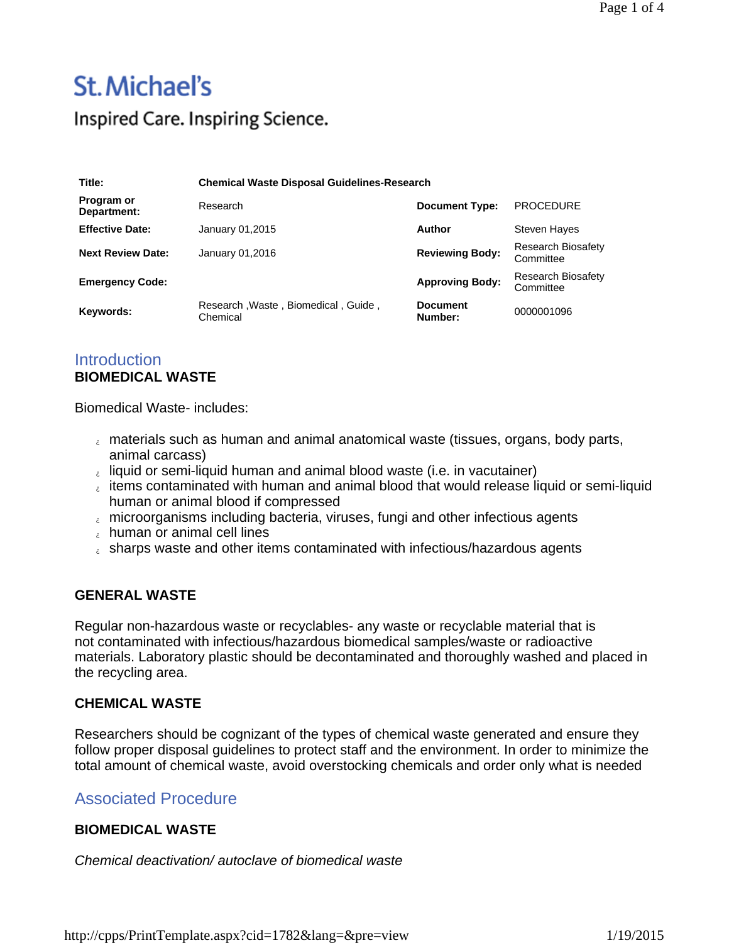## **St. Michael's**

Inspired Care. Inspiring Science.

| Title:                    | <b>Chemical Waste Disposal Guidelines-Research</b> |                            |                                 |
|---------------------------|----------------------------------------------------|----------------------------|---------------------------------|
| Program or<br>Department: | Research                                           | <b>Document Type:</b>      | <b>PROCEDURE</b>                |
| <b>Effective Date:</b>    | January 01,2015                                    | Author                     | Steven Hayes                    |
| <b>Next Review Date:</b>  | January 01,2016                                    | <b>Reviewing Body:</b>     | Research Biosafety<br>Committee |
| <b>Emergency Code:</b>    |                                                    | <b>Approving Body:</b>     | Research Biosafety<br>Committee |
| Keywords:                 | Research, Waste, Biomedical, Guide,<br>Chemical    | <b>Document</b><br>Number: | 0000001096                      |

### **Introduction BIOMEDICAL WASTE**

Biomedical Waste- includes:

- materials such as human and animal anatomical waste (tissues, organs, body parts, animal carcass)
- liquid or semi-liquid human and animal blood waste (i.e. in vacutainer)
- $\epsilon$  items contaminated with human and animal blood that would release liquid or semi-liquid human or animal blood if compressed
- $_{i}$  microorganisms including bacteria, viruses, fungi and other infectious agents
- human or animal cell lines
- $\epsilon$  sharps waste and other items contaminated with infectious/hazardous agents

### **GENERAL WASTE**

Regular non-hazardous waste or recyclables- any waste or recyclable material that is not contaminated with infectious/hazardous biomedical samples/waste or radioactive materials. Laboratory plastic should be decontaminated and thoroughly washed and placed in the recycling area.

### **CHEMICAL WASTE**

Researchers should be cognizant of the types of chemical waste generated and ensure they follow proper disposal guidelines to protect staff and the environment. In order to minimize the total amount of chemical waste, avoid overstocking chemicals and order only what is needed

### Associated Procedure

### **BIOMEDICAL WASTE**

*Chemical deactivation/ autoclave of biomedical waste*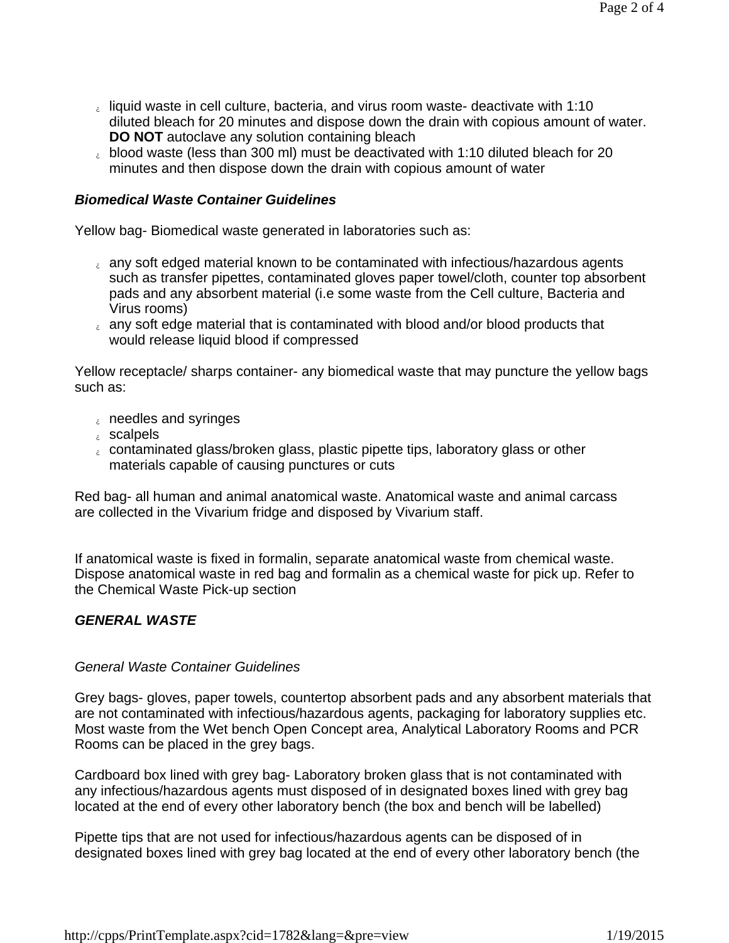- liquid waste in cell culture, bacteria, and virus room waste- deactivate with 1:10 diluted bleach for 20 minutes and dispose down the drain with copious amount of water. **DO NOT** autoclave any solution containing bleach
- blood waste (less than 300 ml) must be deactivated with 1:10 diluted bleach for 20 minutes and then dispose down the drain with copious amount of water

### *Biomedical Waste Container Guidelines*

Yellow bag- Biomedical waste generated in laboratories such as:

- any soft edged material known to be contaminated with infectious/hazardous agents such as transfer pipettes, contaminated gloves paper towel/cloth, counter top absorbent pads and any absorbent material (i.e some waste from the Cell culture, Bacteria and Virus rooms)
- $\epsilon$  any soft edge material that is contaminated with blood and/or blood products that would release liquid blood if compressed

Yellow receptacle/ sharps container- any biomedical waste that may puncture the yellow bags such as:

- $\epsilon$  needles and syringes
- $\epsilon$  scalpels
- contaminated glass/broken glass, plastic pipette tips, laboratory glass or other materials capable of causing punctures or cuts

Red bag- all human and animal anatomical waste. Anatomical waste and animal carcass are collected in the Vivarium fridge and disposed by Vivarium staff.

If anatomical waste is fixed in formalin, separate anatomical waste from chemical waste. Dispose anatomical waste in red bag and formalin as a chemical waste for pick up. Refer to the Chemical Waste Pick-up section

### *GENERAL WASTE*

### *General Waste Container Guidelines*

Grey bags- gloves, paper towels, countertop absorbent pads and any absorbent materials that are not contaminated with infectious/hazardous agents, packaging for laboratory supplies etc. Most waste from the Wet bench Open Concept area, Analytical Laboratory Rooms and PCR Rooms can be placed in the grey bags.

Cardboard box lined with grey bag- Laboratory broken glass that is not contaminated with any infectious/hazardous agents must disposed of in designated boxes lined with grey bag located at the end of every other laboratory bench (the box and bench will be labelled)

Pipette tips that are not used for infectious/hazardous agents can be disposed of in designated boxes lined with grey bag located at the end of every other laboratory bench (the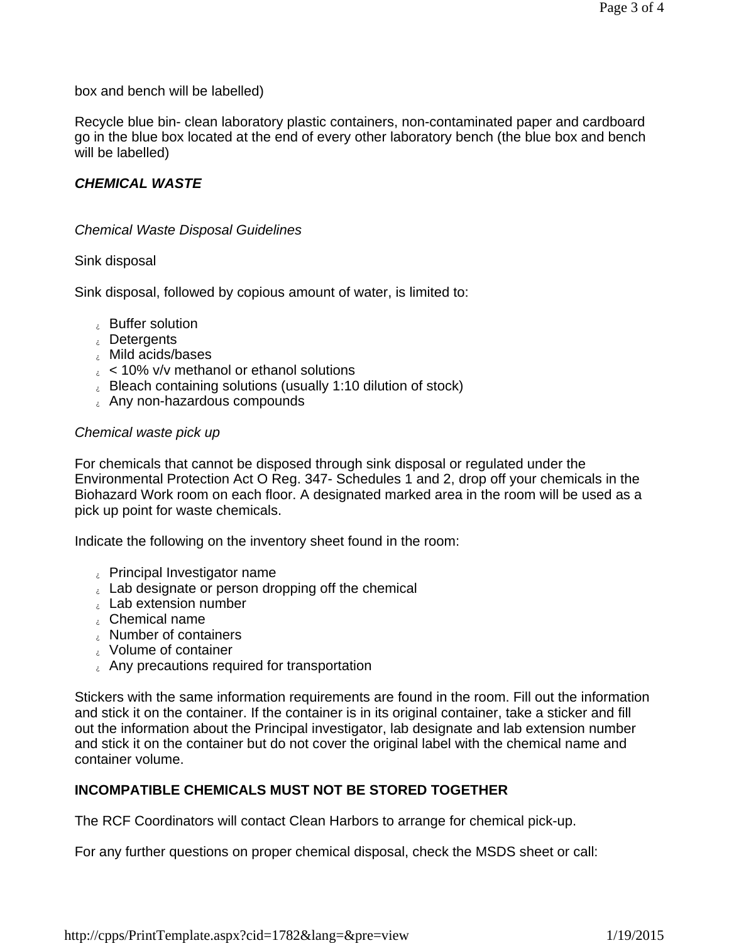box and bench will be labelled)

Recycle blue bin- clean laboratory plastic containers, non-contaminated paper and cardboard go in the blue box located at the end of every other laboratory bench (the blue box and bench will be labelled)

### *CHEMICAL WASTE*

### *Chemical Waste Disposal Guidelines*

#### Sink disposal

Sink disposal, followed by copious amount of water, is limited to:

- **Buffer solution**
- Detergents
- Mild acids/bases
- $\epsilon$  < 10% v/v methanol or ethanol solutions
- **Bleach containing solutions (usually 1:10 dilution of stock)**
- Any non-hazardous compounds

#### *Chemical waste pick up*

For chemicals that cannot be disposed through sink disposal or regulated under the Environmental Protection Act O Reg. 347- Schedules 1 and 2, drop off your chemicals in the Biohazard Work room on each floor. A designated marked area in the room will be used as a pick up point for waste chemicals.

Indicate the following on the inventory sheet found in the room:

- Principal Investigator name
- $\epsilon$  Lab designate or person dropping off the chemical
- $_{c}$  Lab extension number
- Chemical name
- Number of containers
- Volume of container
- **Any precautions required for transportation**

Stickers with the same information requirements are found in the room. Fill out the information and stick it on the container. If the container is in its original container, take a sticker and fill out the information about the Principal investigator, lab designate and lab extension number and stick it on the container but do not cover the original label with the chemical name and container volume.

### **INCOMPATIBLE CHEMICALS MUST NOT BE STORED TOGETHER**

The RCF Coordinators will contact Clean Harbors to arrange for chemical pick-up.

For any further questions on proper chemical disposal, check the MSDS sheet or call: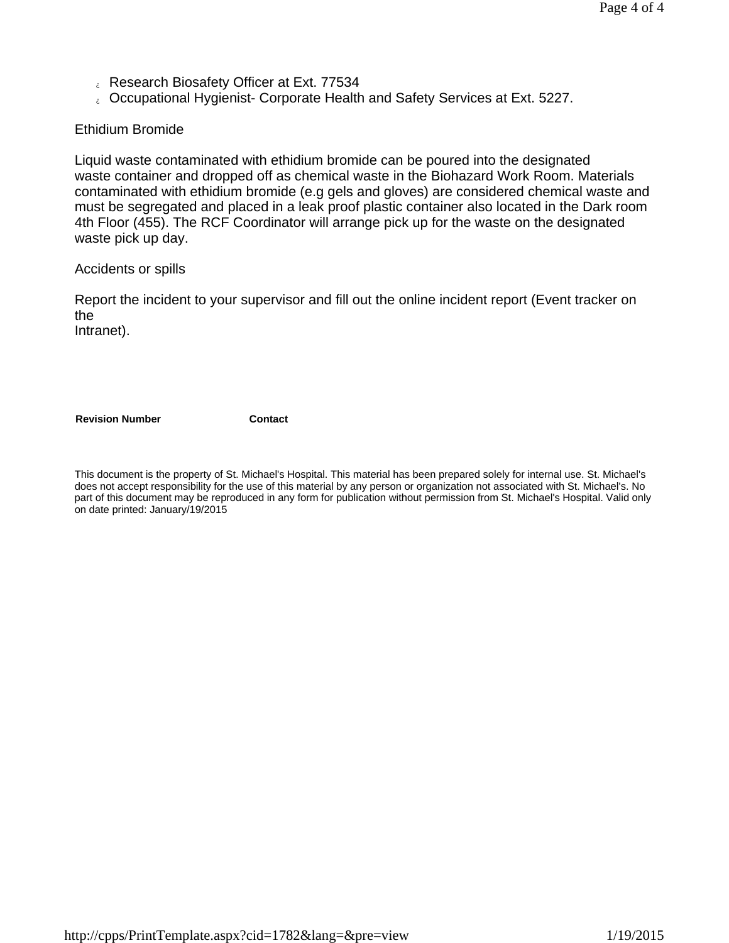- L. Research Biosafety Officer at Ext. 77534
- Occupational Hygienist- Corporate Health and Safety Services at Ext. 5227.

### Ethidium Bromide

Liquid waste contaminated with ethidium bromide can be poured into the designated waste container and dropped off as chemical waste in the Biohazard Work Room. Materials contaminated with ethidium bromide (e.g gels and gloves) are considered chemical waste and must be segregated and placed in a leak proof plastic container also located in the Dark room 4th Floor (455). The RCF Coordinator will arrange pick up for the waste on the designated waste pick up day.

Accidents or spills

Report the incident to your supervisor and fill out the online incident report (Event tracker on the

Intranet).

**Revision Number Contact** 

This document is the property of St. Michael's Hospital. This material has been prepared solely for internal use. St. Michael's does not accept responsibility for the use of this material by any person or organization not associated with St. Michael's. No part of this document may be reproduced in any form for publication without permission from St. Michael's Hospital. Valid only on date printed: January/19/2015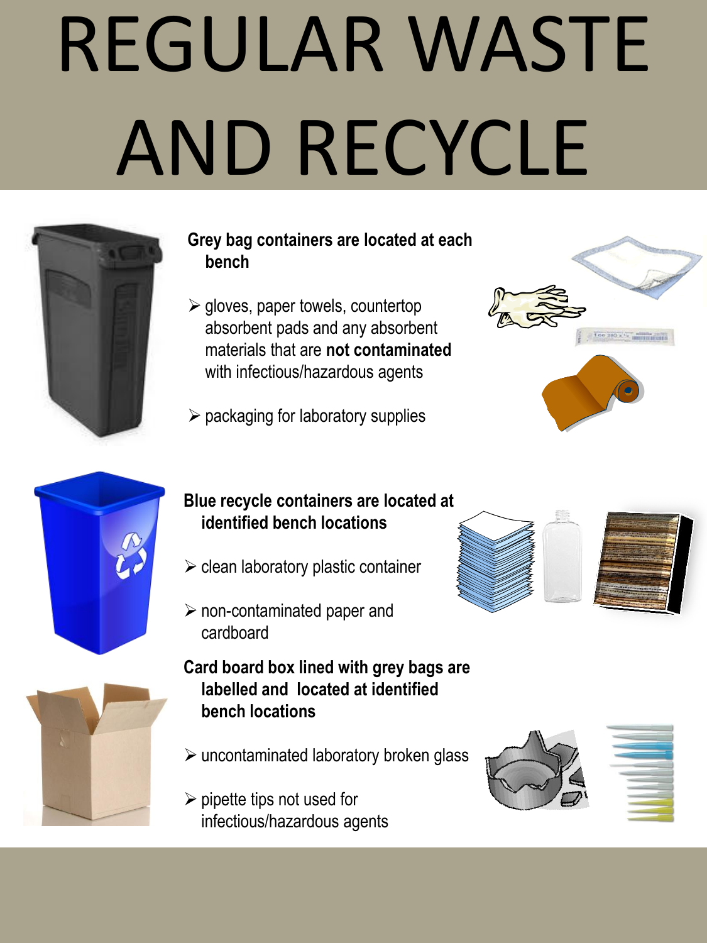# REGULAR WASTE AND RECYCLE



### **Grey bag containers are located at each bench**

- $\triangleright$  gloves, paper towels, countertop absorbent pads and any absorbent materials that are **not contaminated**  with infectious/hazardous agents
- $\triangleright$  packaging for laboratory supplies





### **Blue recycle containers are located at identified bench locations**

- $\triangleright$  clean laboratory plastic container
- $\triangleright$  non-contaminated paper and cardboard
- **Card board box lined with grey bags are labelled and located at identified bench locations**
- $\triangleright$  uncontaminated laboratory broken glass
- $\triangleright$  pipette tips not used for infectious/hazardous agents



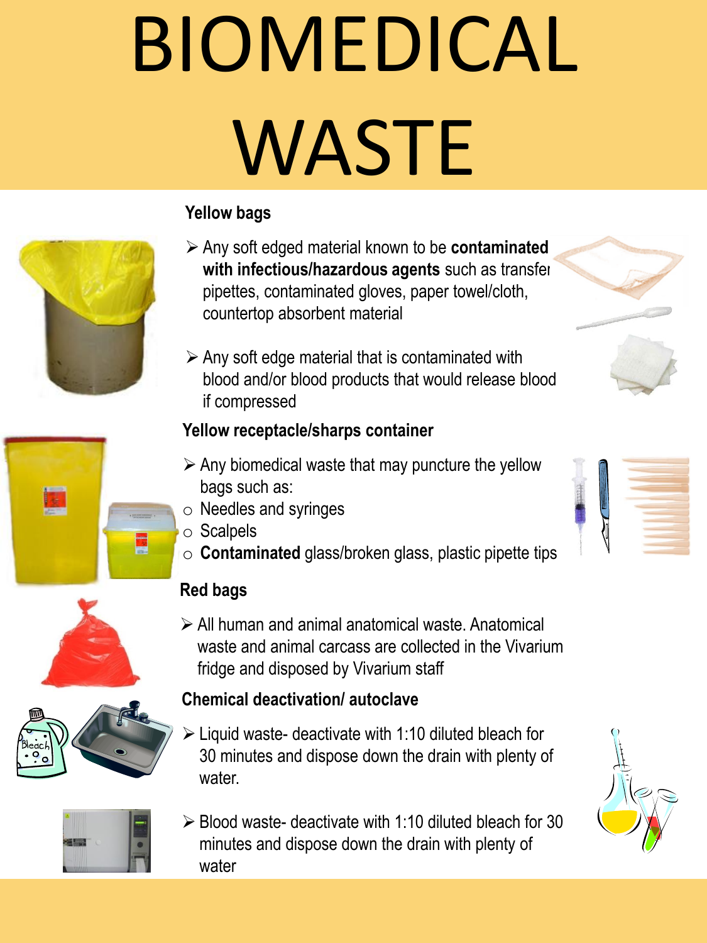# BIOMEDICAL WASTE

## **Yellow bags**

- Any soft edged material known to be **contaminated with infectious/hazardous agents** such as transfer pipettes, contaminated gloves, paper towel/cloth, countertop absorbent material
- $\triangleright$  Any soft edge material that is contaminated with blood and/or blood products that would release blood if compressed

## **Yellow receptacle/sharps container**

- $\triangleright$  Any biomedical waste that may puncture the yellow bags such as:
- o Needles and syringes
- o Scalpels
- o **Contaminated** glass/broken glass, plastic pipette tips

## **Red bags**

 All human and animal anatomical waste. Anatomical waste and animal carcass are collected in the Vivarium fridge and disposed by Vivarium staff

## **Chemical deactivation/ autoclave**

- $\geq$  Liquid waste- deactivate with 1:10 diluted bleach for 30 minutes and dispose down the drain with plenty of water.
- $\geq$  Blood waste- deactivate with 1:10 diluted bleach for 30 minutes and dispose down the drain with plenty of water